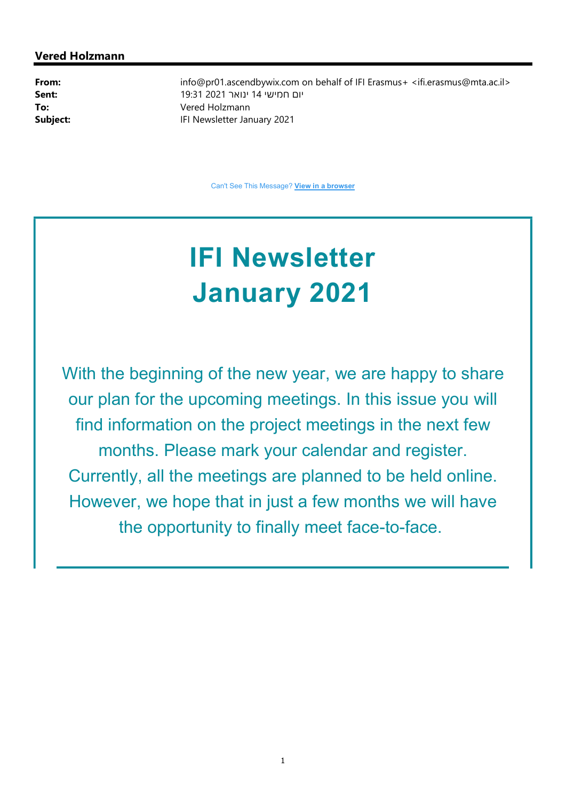#### Vered Holzmann

**From:** info@pr01.ascendbywix.com on behalf of IFI Erasmus+ <ifi.erasmus@mta.ac.il> יום חמישי 14 ינואר 2021 19:31 :Sent To: Vered Holzmann Subject: IFI Newsletter January 2021

Can't See This Message? View in a browser

## IFI Newsletter January 2021

With the beginning of the new year, we are happy to share our plan for the upcoming meetings. In this issue you will find information on the project meetings in the next few months. Please mark your calendar and register. Currently, all the meetings are planned to be held online. However, we hope that in just a few months we will have the opportunity to finally meet face-to-face.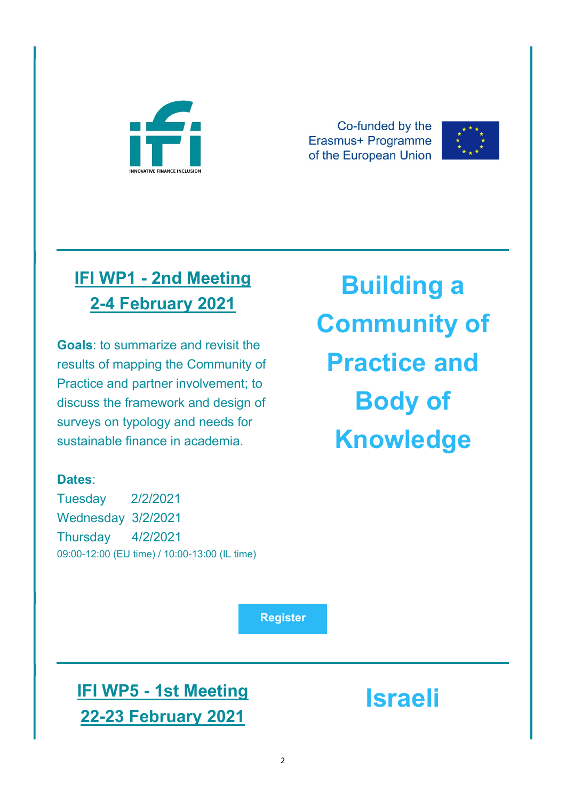

Co-funded by the Erasmus+ Programme of the European Union



## IFI WP1 - 2nd Meeting 2-4 February 2021

Goals: to summarize and revisit the results of mapping the Community of Practice and partner involvement; to discuss the framework and design of surveys on typology and needs for sustainable finance in academia.

# Building a Community of Practice and Body of Knowledge

### Dates:

Tuesday 2/2/2021 Wednesday 3/2/2021 Thursday 4/2/2021 09:00-12:00 (EU time) / 10:00-13:00 (IL time)

Register

IFI WP5 - 1st Meeting 22-23 February 2021

Israeli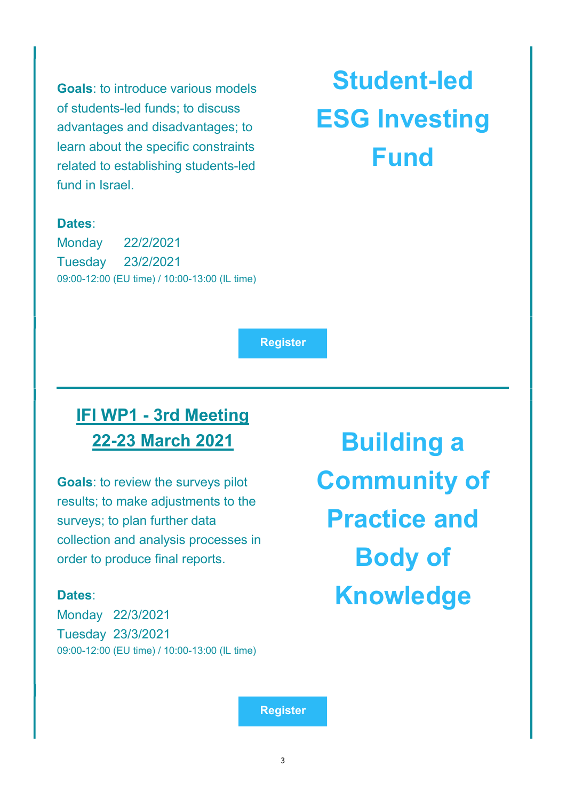Goals: to introduce various models of students-led funds; to discuss advantages and disadvantages; to learn about the specific constraints related to establishing students-led fund in Israel.

## Student-led ESG Investing Fund

#### Dates:

Monday 22/2/2021 Tuesday 23/2/2021 09:00-12:00 (EU time) / 10:00-13:00 (IL time)

Register

## IFI WP1 - 3rd Meeting 22-23 March 2021

Goals: to review the surveys pilot results; to make adjustments to the surveys; to plan further data collection and analysis processes in order to produce final reports.

#### Dates:

Monday 22/3/2021 Tuesday 23/3/2021 09:00-12:00 (EU time) / 10:00-13:00 (IL time)

Building a Community of Practice and Body of Knowledge

Register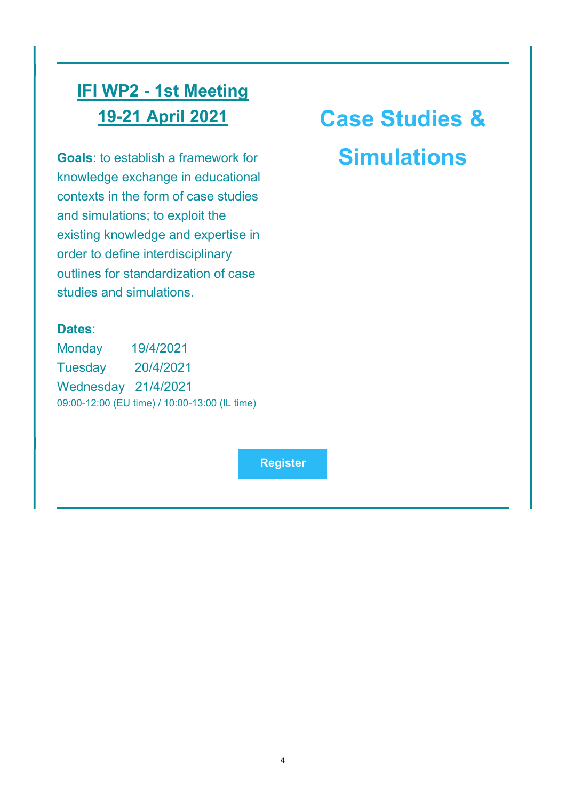### IFI WP2 - 1st Meeting 19-21 April 2021

Goals: to establish a framework for knowledge exchange in educational contexts in the form of case studies and simulations; to exploit the existing knowledge and expertise in order to define interdisciplinary outlines for standardization of case studies and simulations.

## Case Studies & **Simulations**

#### Dates:

Monday 19/4/2021 Tuesday 20/4/2021 Wednesday 21/4/2021 09:00-12:00 (EU time) / 10:00-13:00 (IL time)

Register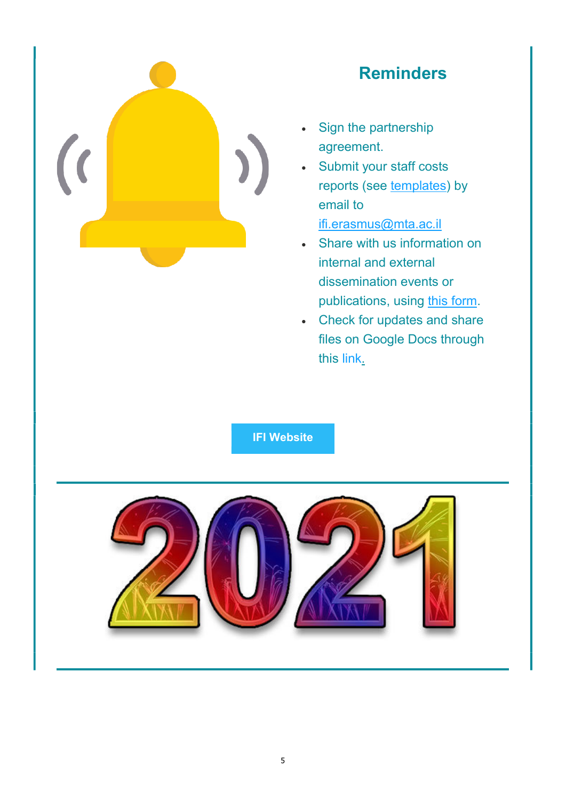

### Reminders

- Sign the partnership agreement.
- Submit your staff costs reports (see templates) by email to ifi.erasmus@mta.ac.il
- Share with us information on internal and external dissemination events or publications, using this form.
- Check for updates and share files on Google Docs through this link.

IFI Website